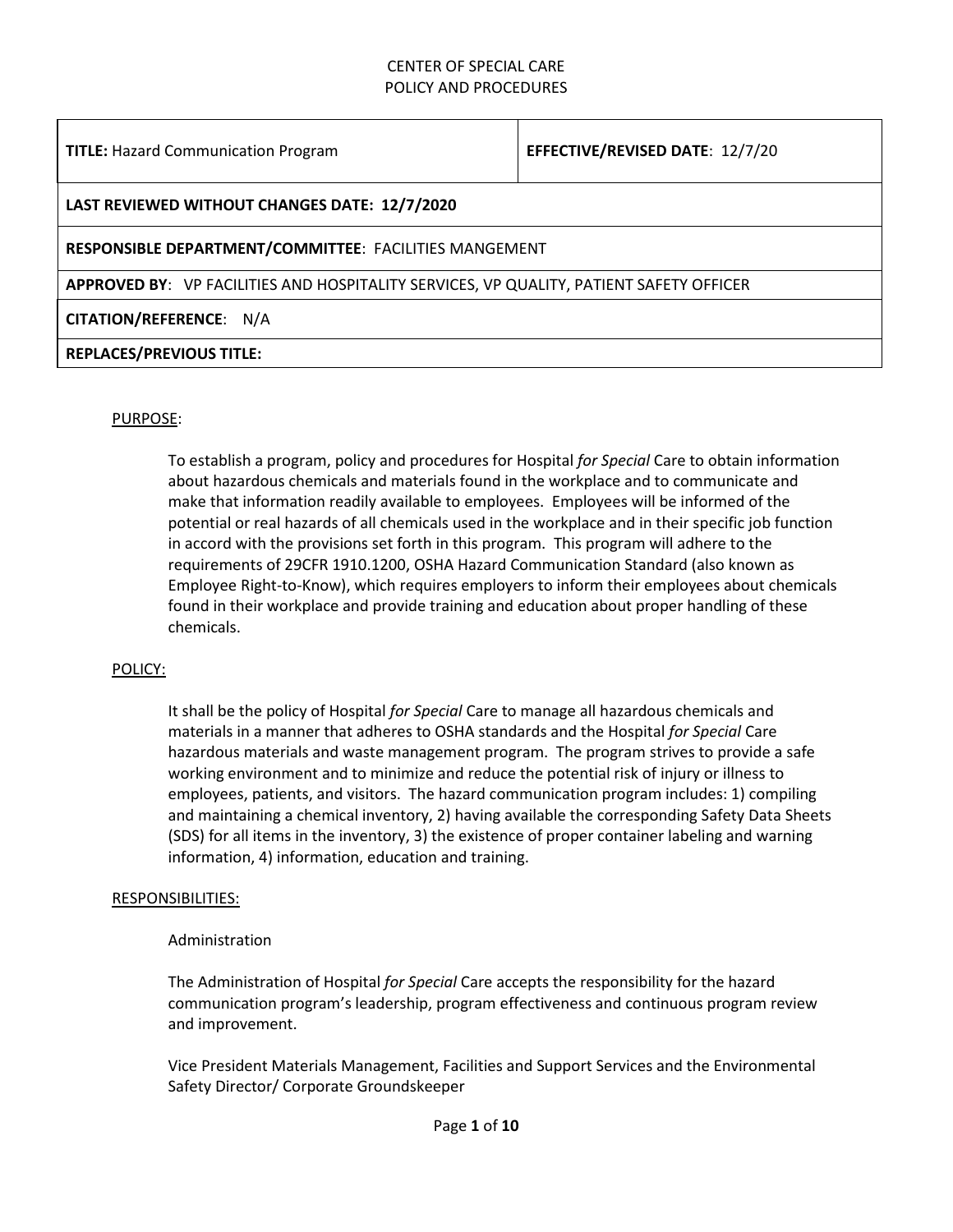#### **TITLE:** Hazard Communication Program **EFFECTIVE/REVISED DATE**: 12/7/20

#### **LAST REVIEWED WITHOUT CHANGES DATE: 12/7/2020**

#### **RESPONSIBLE DEPARTMENT/COMMITTEE**: FACILITIES MANGEMENT

**APPROVED BY**: VP FACILITIES AND HOSPITALITY SERVICES, VP QUALITY, PATIENT SAFETY OFFICER

#### **CITATION/REFERENCE**: N/A

#### **REPLACES/PREVIOUS TITLE:**

#### PURPOSE:

To establish a program, policy and procedures for Hospital *for Special* Care to obtain information about hazardous chemicals and materials found in the workplace and to communicate and make that information readily available to employees. Employees will be informed of the potential or real hazards of all chemicals used in the workplace and in their specific job function in accord with the provisions set forth in this program. This program will adhere to the requirements of 29CFR 1910.1200, OSHA Hazard Communication Standard (also known as Employee Right-to-Know), which requires employers to inform their employees about chemicals found in their workplace and provide training and education about proper handling of these chemicals.

#### POLICY:

It shall be the policy of Hospital *for Special* Care to manage all hazardous chemicals and materials in a manner that adheres to OSHA standards and the Hospital *for Special* Care hazardous materials and waste management program. The program strives to provide a safe working environment and to minimize and reduce the potential risk of injury or illness to employees, patients, and visitors. The hazard communication program includes: 1) compiling and maintaining a chemical inventory, 2) having available the corresponding Safety Data Sheets (SDS) for all items in the inventory, 3) the existence of proper container labeling and warning information, 4) information, education and training.

#### RESPONSIBILITIES:

#### Administration

The Administration of Hospital *for Special* Care accepts the responsibility for the hazard communication program's leadership, program effectiveness and continuous program review and improvement.

Vice President Materials Management, Facilities and Support Services and the Environmental Safety Director/ Corporate Groundskeeper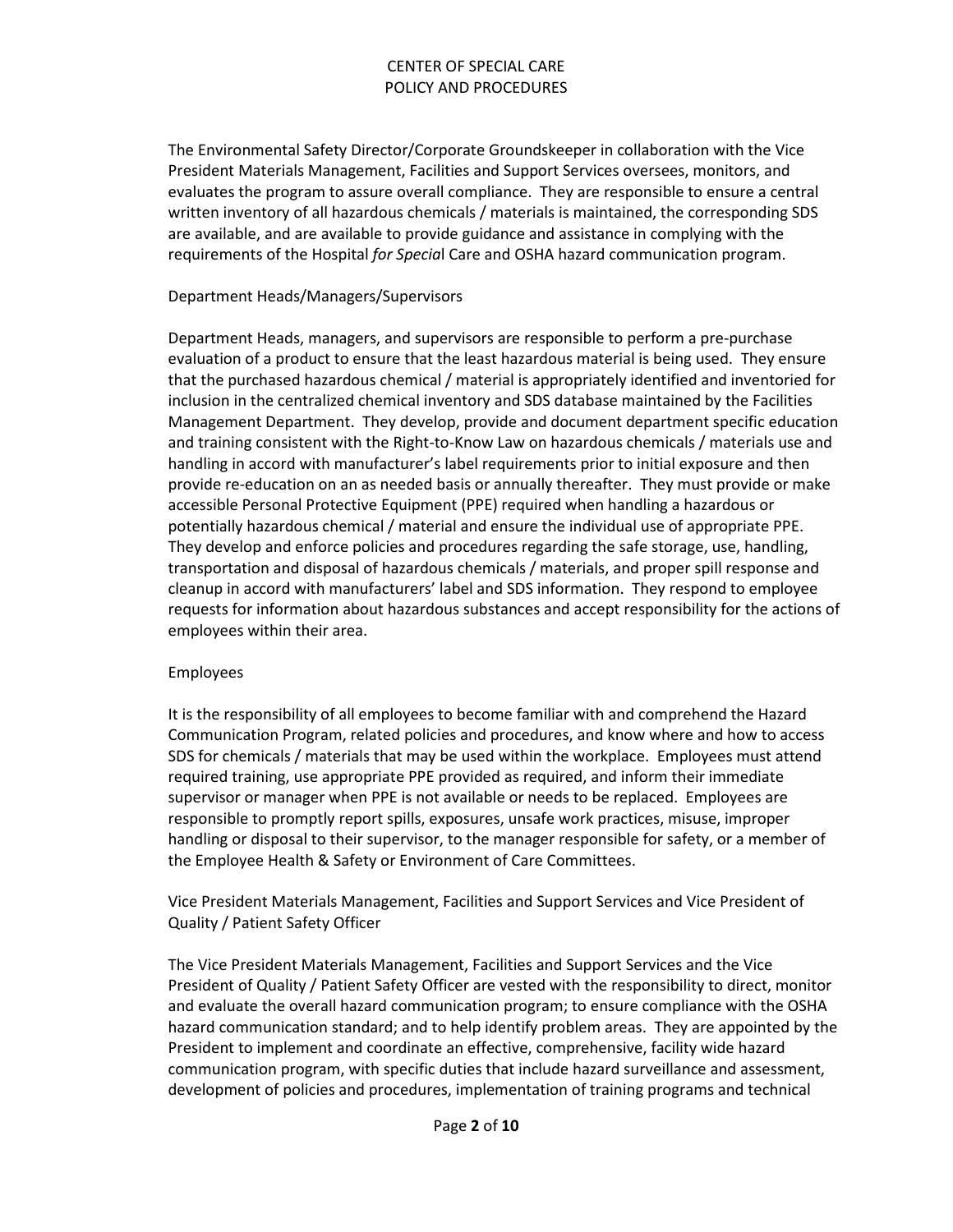The Environmental Safety Director/Corporate Groundskeeper in collaboration with the Vice President Materials Management, Facilities and Support Services oversees, monitors, and evaluates the program to assure overall compliance. They are responsible to ensure a central written inventory of all hazardous chemicals / materials is maintained, the corresponding SDS are available, and are available to provide guidance and assistance in complying with the requirements of the Hospital *for Specia*l Care and OSHA hazard communication program.

#### Department Heads/Managers/Supervisors

Department Heads, managers, and supervisors are responsible to perform a pre-purchase evaluation of a product to ensure that the least hazardous material is being used. They ensure that the purchased hazardous chemical / material is appropriately identified and inventoried for inclusion in the centralized chemical inventory and SDS database maintained by the Facilities Management Department. They develop, provide and document department specific education and training consistent with the Right-to-Know Law on hazardous chemicals / materials use and handling in accord with manufacturer's label requirements prior to initial exposure and then provide re-education on an as needed basis or annually thereafter. They must provide or make accessible Personal Protective Equipment (PPE) required when handling a hazardous or potentially hazardous chemical / material and ensure the individual use of appropriate PPE. They develop and enforce policies and procedures regarding the safe storage, use, handling, transportation and disposal of hazardous chemicals / materials, and proper spill response and cleanup in accord with manufacturers' label and SDS information. They respond to employee requests for information about hazardous substances and accept responsibility for the actions of employees within their area.

#### Employees

It is the responsibility of all employees to become familiar with and comprehend the Hazard Communication Program, related policies and procedures, and know where and how to access SDS for chemicals / materials that may be used within the workplace. Employees must attend required training, use appropriate PPE provided as required, and inform their immediate supervisor or manager when PPE is not available or needs to be replaced. Employees are responsible to promptly report spills, exposures, unsafe work practices, misuse, improper handling or disposal to their supervisor, to the manager responsible for safety, or a member of the Employee Health & Safety or Environment of Care Committees.

Vice President Materials Management, Facilities and Support Services and Vice President of Quality / Patient Safety Officer

The Vice President Materials Management, Facilities and Support Services and the Vice President of Quality / Patient Safety Officer are vested with the responsibility to direct, monitor and evaluate the overall hazard communication program; to ensure compliance with the OSHA hazard communication standard; and to help identify problem areas. They are appointed by the President to implement and coordinate an effective, comprehensive, facility wide hazard communication program, with specific duties that include hazard surveillance and assessment, development of policies and procedures, implementation of training programs and technical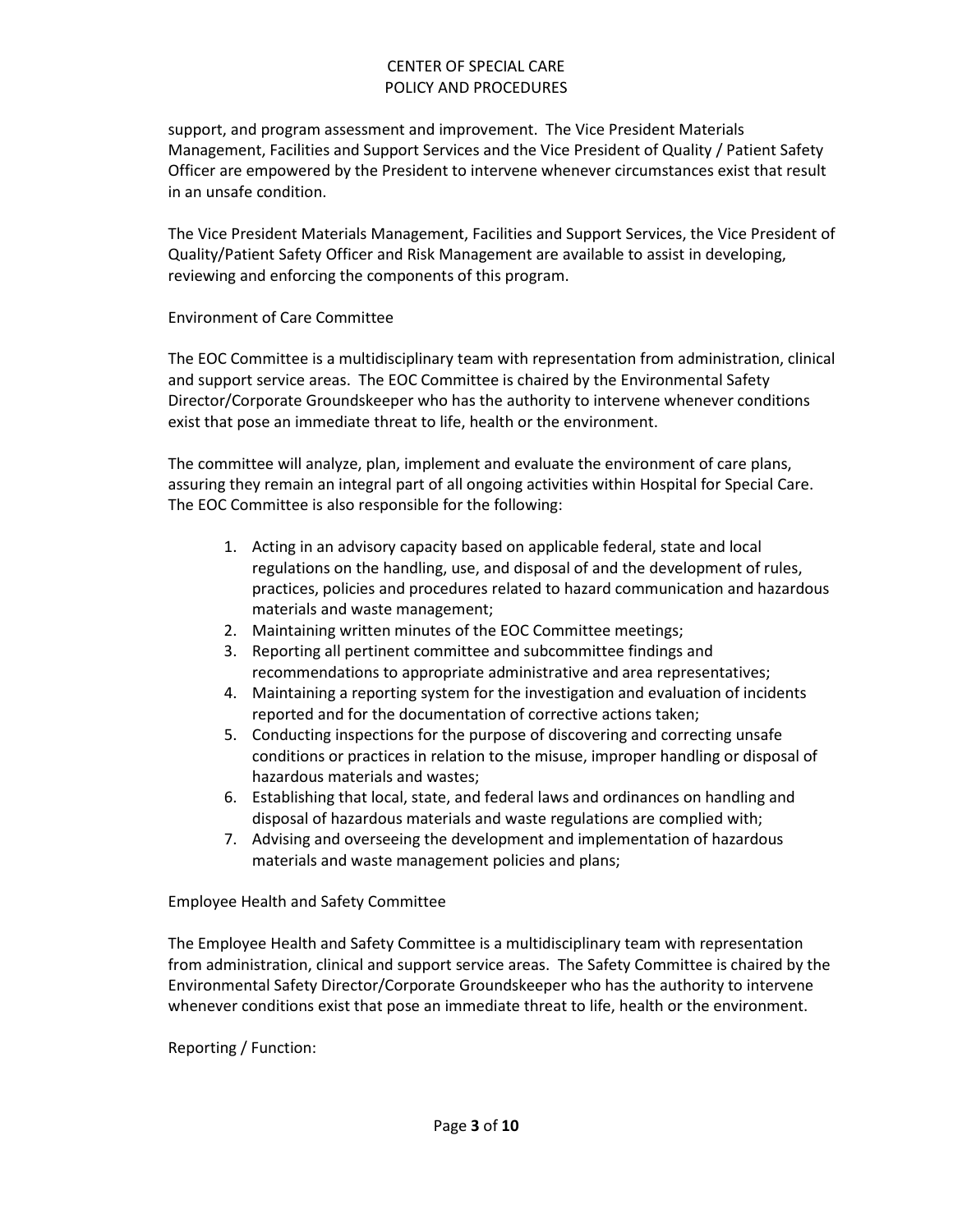support, and program assessment and improvement. The Vice President Materials Management, Facilities and Support Services and the Vice President of Quality / Patient Safety Officer are empowered by the President to intervene whenever circumstances exist that result in an unsafe condition.

The Vice President Materials Management, Facilities and Support Services, the Vice President of Quality/Patient Safety Officer and Risk Management are available to assist in developing, reviewing and enforcing the components of this program.

#### Environment of Care Committee

The EOC Committee is a multidisciplinary team with representation from administration, clinical and support service areas. The EOC Committee is chaired by the Environmental Safety Director/Corporate Groundskeeper who has the authority to intervene whenever conditions exist that pose an immediate threat to life, health or the environment.

The committee will analyze, plan, implement and evaluate the environment of care plans, assuring they remain an integral part of all ongoing activities within Hospital for Special Care. The EOC Committee is also responsible for the following:

- 1. Acting in an advisory capacity based on applicable federal, state and local regulations on the handling, use, and disposal of and the development of rules, practices, policies and procedures related to hazard communication and hazardous materials and waste management;
- 2. Maintaining written minutes of the EOC Committee meetings;
- 3. Reporting all pertinent committee and subcommittee findings and recommendations to appropriate administrative and area representatives;
- 4. Maintaining a reporting system for the investigation and evaluation of incidents reported and for the documentation of corrective actions taken;
- 5. Conducting inspections for the purpose of discovering and correcting unsafe conditions or practices in relation to the misuse, improper handling or disposal of hazardous materials and wastes;
- 6. Establishing that local, state, and federal laws and ordinances on handling and disposal of hazardous materials and waste regulations are complied with;
- 7. Advising and overseeing the development and implementation of hazardous materials and waste management policies and plans;

Employee Health and Safety Committee

The Employee Health and Safety Committee is a multidisciplinary team with representation from administration, clinical and support service areas. The Safety Committee is chaired by the Environmental Safety Director/Corporate Groundskeeper who has the authority to intervene whenever conditions exist that pose an immediate threat to life, health or the environment.

Reporting / Function: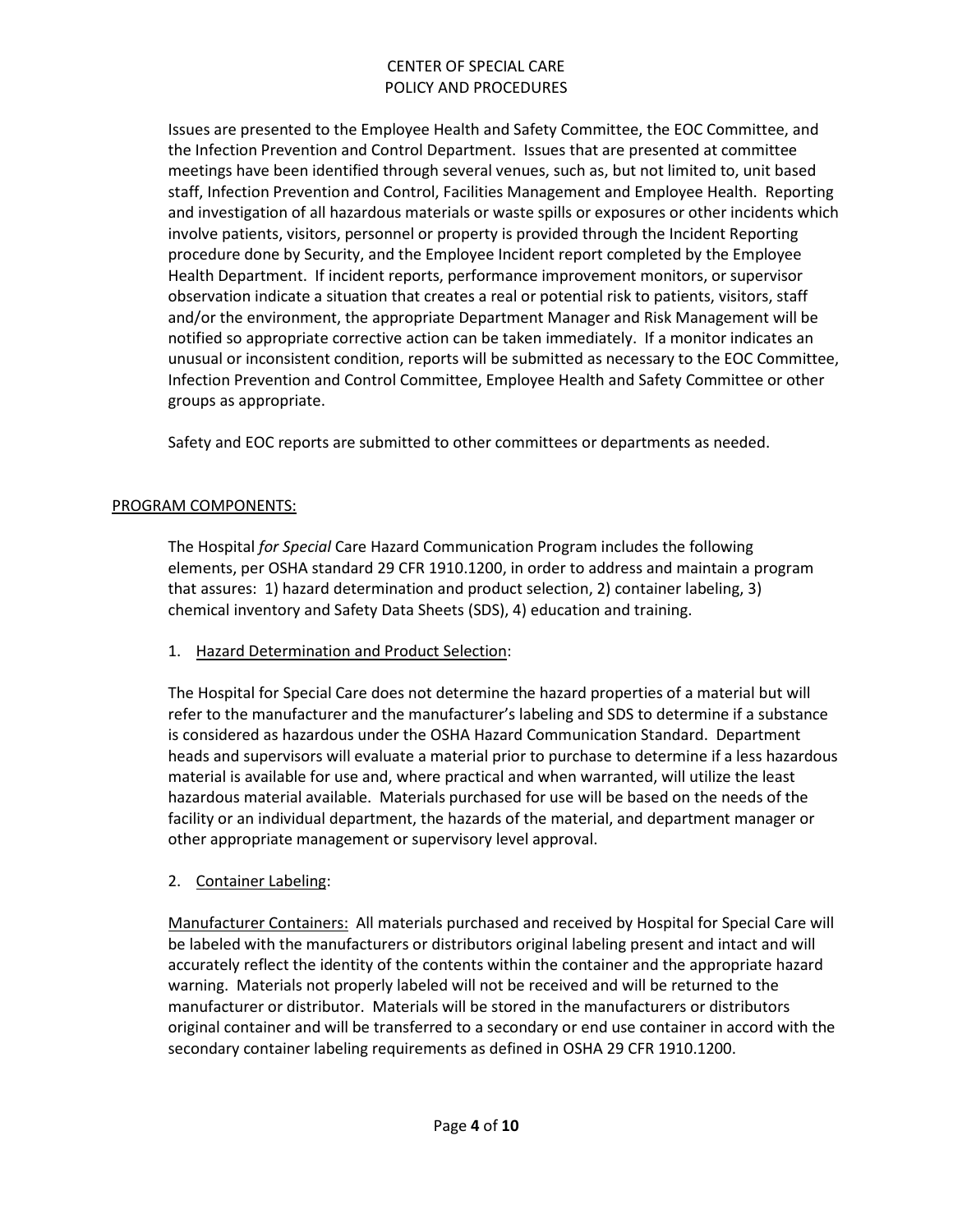Issues are presented to the Employee Health and Safety Committee, the EOC Committee, and the Infection Prevention and Control Department. Issues that are presented at committee meetings have been identified through several venues, such as, but not limited to, unit based staff, Infection Prevention and Control, Facilities Management and Employee Health. Reporting and investigation of all hazardous materials or waste spills or exposures or other incidents which involve patients, visitors, personnel or property is provided through the Incident Reporting procedure done by Security, and the Employee Incident report completed by the Employee Health Department. If incident reports, performance improvement monitors, or supervisor observation indicate a situation that creates a real or potential risk to patients, visitors, staff and/or the environment, the appropriate Department Manager and Risk Management will be notified so appropriate corrective action can be taken immediately. If a monitor indicates an unusual or inconsistent condition, reports will be submitted as necessary to the EOC Committee, Infection Prevention and Control Committee, Employee Health and Safety Committee or other groups as appropriate.

Safety and EOC reports are submitted to other committees or departments as needed.

#### PROGRAM COMPONENTS:

The Hospital *for Special* Care Hazard Communication Program includes the following elements, per OSHA standard 29 CFR 1910.1200, in order to address and maintain a program that assures: 1) hazard determination and product selection, 2) container labeling, 3) chemical inventory and Safety Data Sheets (SDS), 4) education and training.

#### 1. Hazard Determination and Product Selection:

The Hospital for Special Care does not determine the hazard properties of a material but will refer to the manufacturer and the manufacturer's labeling and SDS to determine if a substance is considered as hazardous under the OSHA Hazard Communication Standard. Department heads and supervisors will evaluate a material prior to purchase to determine if a less hazardous material is available for use and, where practical and when warranted, will utilize the least hazardous material available. Materials purchased for use will be based on the needs of the facility or an individual department, the hazards of the material, and department manager or other appropriate management or supervisory level approval.

#### 2. Container Labeling:

Manufacturer Containers: All materials purchased and received by Hospital for Special Care will be labeled with the manufacturers or distributors original labeling present and intact and will accurately reflect the identity of the contents within the container and the appropriate hazard warning. Materials not properly labeled will not be received and will be returned to the manufacturer or distributor. Materials will be stored in the manufacturers or distributors original container and will be transferred to a secondary or end use container in accord with the secondary container labeling requirements as defined in OSHA 29 CFR 1910.1200.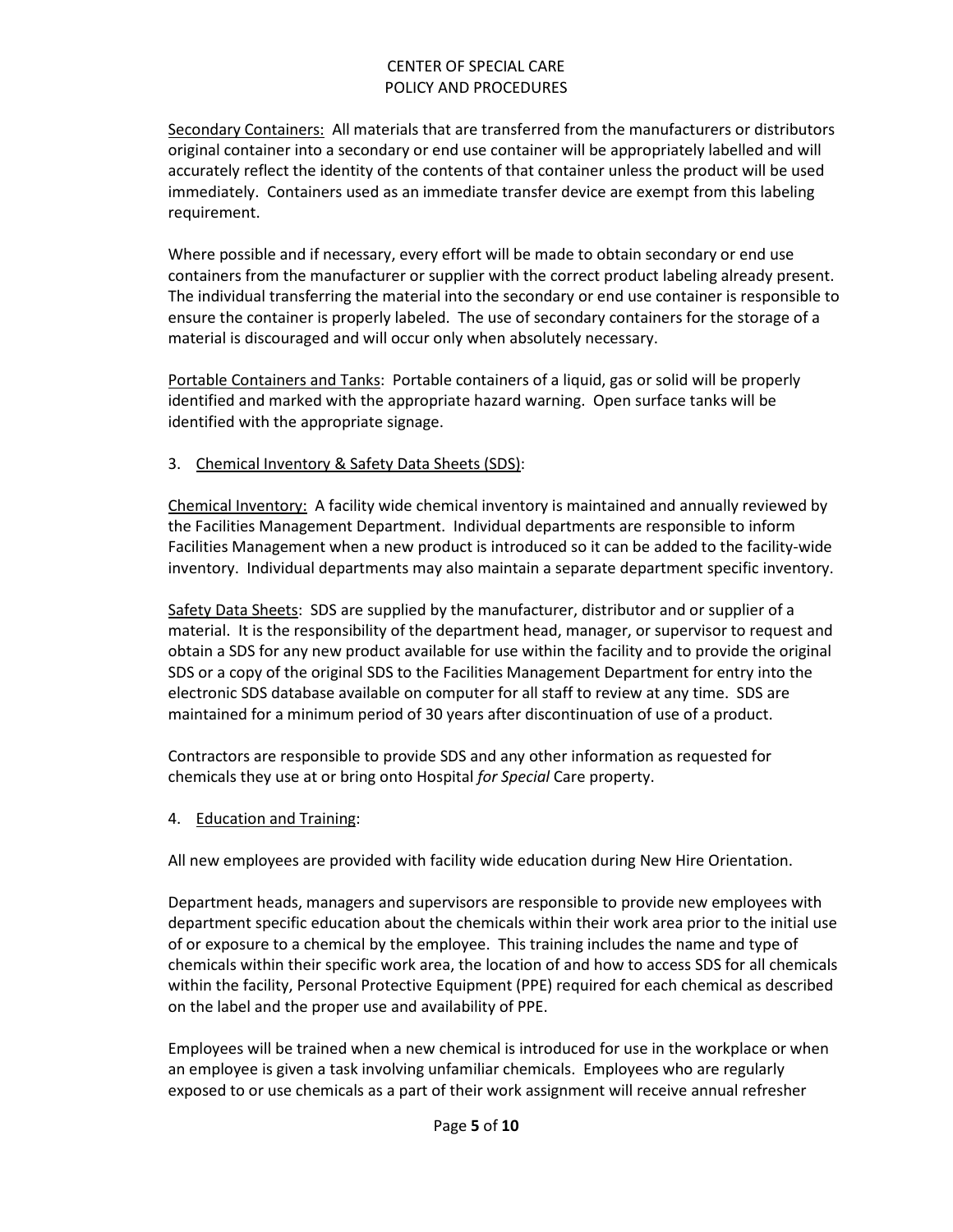Secondary Containers: All materials that are transferred from the manufacturers or distributors original container into a secondary or end use container will be appropriately labelled and will accurately reflect the identity of the contents of that container unless the product will be used immediately. Containers used as an immediate transfer device are exempt from this labeling requirement.

Where possible and if necessary, every effort will be made to obtain secondary or end use containers from the manufacturer or supplier with the correct product labeling already present. The individual transferring the material into the secondary or end use container is responsible to ensure the container is properly labeled. The use of secondary containers for the storage of a material is discouraged and will occur only when absolutely necessary.

Portable Containers and Tanks: Portable containers of a liquid, gas or solid will be properly identified and marked with the appropriate hazard warning. Open surface tanks will be identified with the appropriate signage.

3. Chemical Inventory & Safety Data Sheets (SDS):

Chemical Inventory: A facility wide chemical inventory is maintained and annually reviewed by the Facilities Management Department. Individual departments are responsible to inform Facilities Management when a new product is introduced so it can be added to the facility-wide inventory. Individual departments may also maintain a separate department specific inventory.

Safety Data Sheets: SDS are supplied by the manufacturer, distributor and or supplier of a material. It is the responsibility of the department head, manager, or supervisor to request and obtain a SDS for any new product available for use within the facility and to provide the original SDS or a copy of the original SDS to the Facilities Management Department for entry into the electronic SDS database available on computer for all staff to review at any time. SDS are maintained for a minimum period of 30 years after discontinuation of use of a product.

Contractors are responsible to provide SDS and any other information as requested for chemicals they use at or bring onto Hospital *for Special* Care property.

4. Education and Training:

All new employees are provided with facility wide education during New Hire Orientation.

Department heads, managers and supervisors are responsible to provide new employees with department specific education about the chemicals within their work area prior to the initial use of or exposure to a chemical by the employee. This training includes the name and type of chemicals within their specific work area, the location of and how to access SDS for all chemicals within the facility, Personal Protective Equipment (PPE) required for each chemical as described on the label and the proper use and availability of PPE.

Employees will be trained when a new chemical is introduced for use in the workplace or when an employee is given a task involving unfamiliar chemicals. Employees who are regularly exposed to or use chemicals as a part of their work assignment will receive annual refresher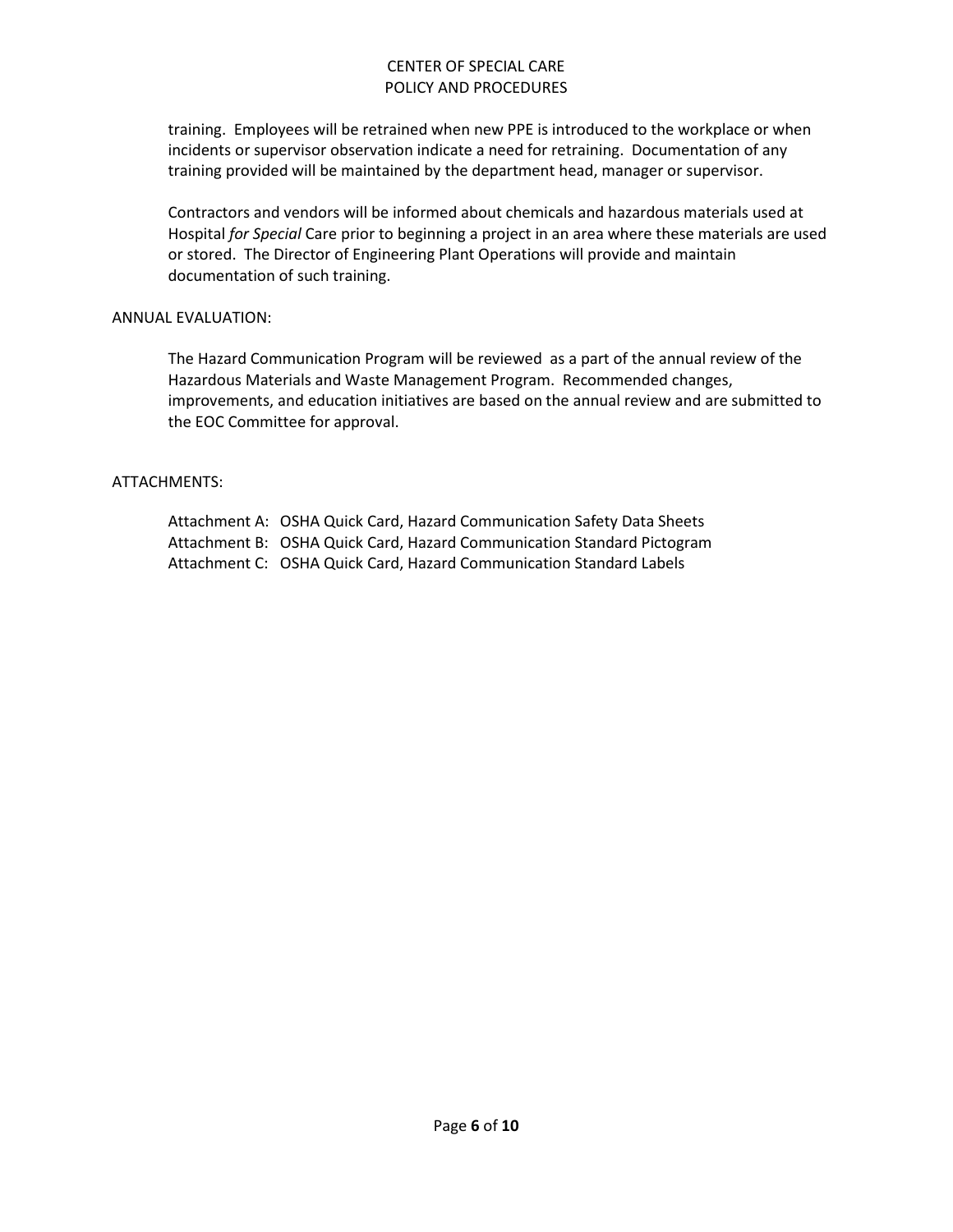training. Employees will be retrained when new PPE is introduced to the workplace or when incidents or supervisor observation indicate a need for retraining. Documentation of any training provided will be maintained by the department head, manager or supervisor.

Contractors and vendors will be informed about chemicals and hazardous materials used at Hospital *for Special* Care prior to beginning a project in an area where these materials are used or stored. The Director of Engineering Plant Operations will provide and maintain documentation of such training.

#### ANNUAL EVALUATION:

The Hazard Communication Program will be reviewed as a part of the annual review of the Hazardous Materials and Waste Management Program. Recommended changes, improvements, and education initiatives are based on the annual review and are submitted to the EOC Committee for approval.

#### ATTACHMENTS:

Attachment A: OSHA Quick Card, Hazard Communication Safety Data Sheets Attachment B: OSHA Quick Card, Hazard Communication Standard Pictogram Attachment C: OSHA Quick Card, Hazard Communication Standard Labels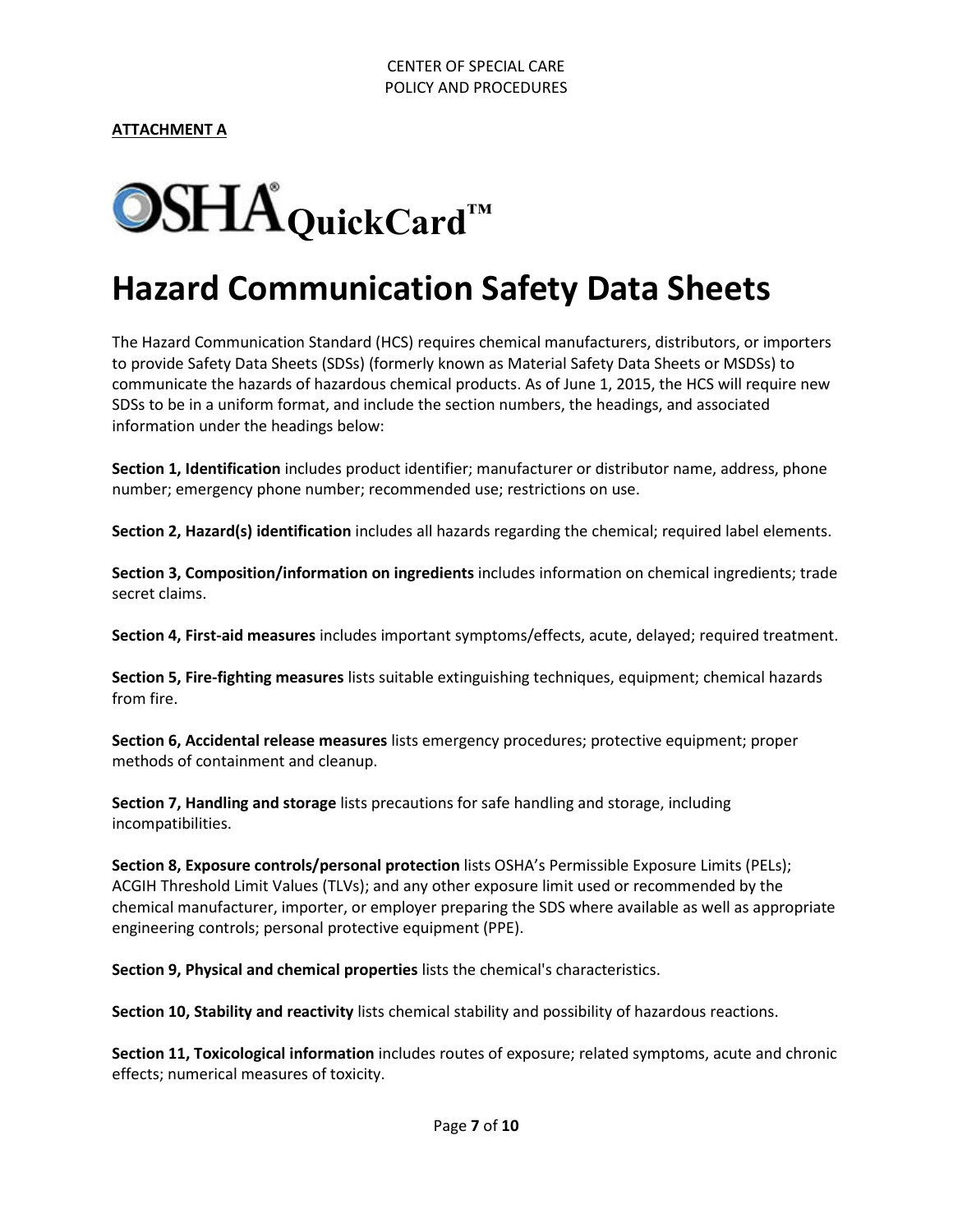

# **Hazard Communication Safety Data Sheets**

The Hazard Communication Standard (HCS) requires chemical manufacturers, distributors, or importers to provide Safety Data Sheets (SDSs) (formerly known as Material Safety Data Sheets or MSDSs) to communicate the hazards of hazardous chemical products. As of June 1, 2015, the HCS will require new SDSs to be in a uniform format, and include the section numbers, the headings, and associated information under the headings below:

**Section 1, Identification** includes product identifier; manufacturer or distributor name, address, phone number; emergency phone number; recommended use; restrictions on use.

**Section 2, Hazard(s) identification** includes all hazards regarding the chemical; required label elements.

**Section 3, Composition/information on ingredients** includes information on chemical ingredients; trade secret claims.

**Section 4, First-aid measures** includes important symptoms/effects, acute, delayed; required treatment.

**Section 5, Fire-fighting measures** lists suitable extinguishing techniques, equipment; chemical hazards from fire.

**Section 6, Accidental release measures** lists emergency procedures; protective equipment; proper methods of containment and cleanup.

**Section 7, Handling and storage** lists precautions for safe handling and storage, including incompatibilities.

**Section 8, Exposure controls/personal protection** lists OSHA's Permissible Exposure Limits (PELs); ACGIH Threshold Limit Values (TLVs); and any other exposure limit used or recommended by the chemical manufacturer, importer, or employer preparing the SDS where available as well as appropriate engineering controls; personal protective equipment (PPE).

**Section 9, Physical and chemical properties** lists the chemical's characteristics.

**Section 10, Stability and reactivity** lists chemical stability and possibility of hazardous reactions.

**Section 11, Toxicological information** includes routes of exposure; related symptoms, acute and chronic effects; numerical measures of toxicity.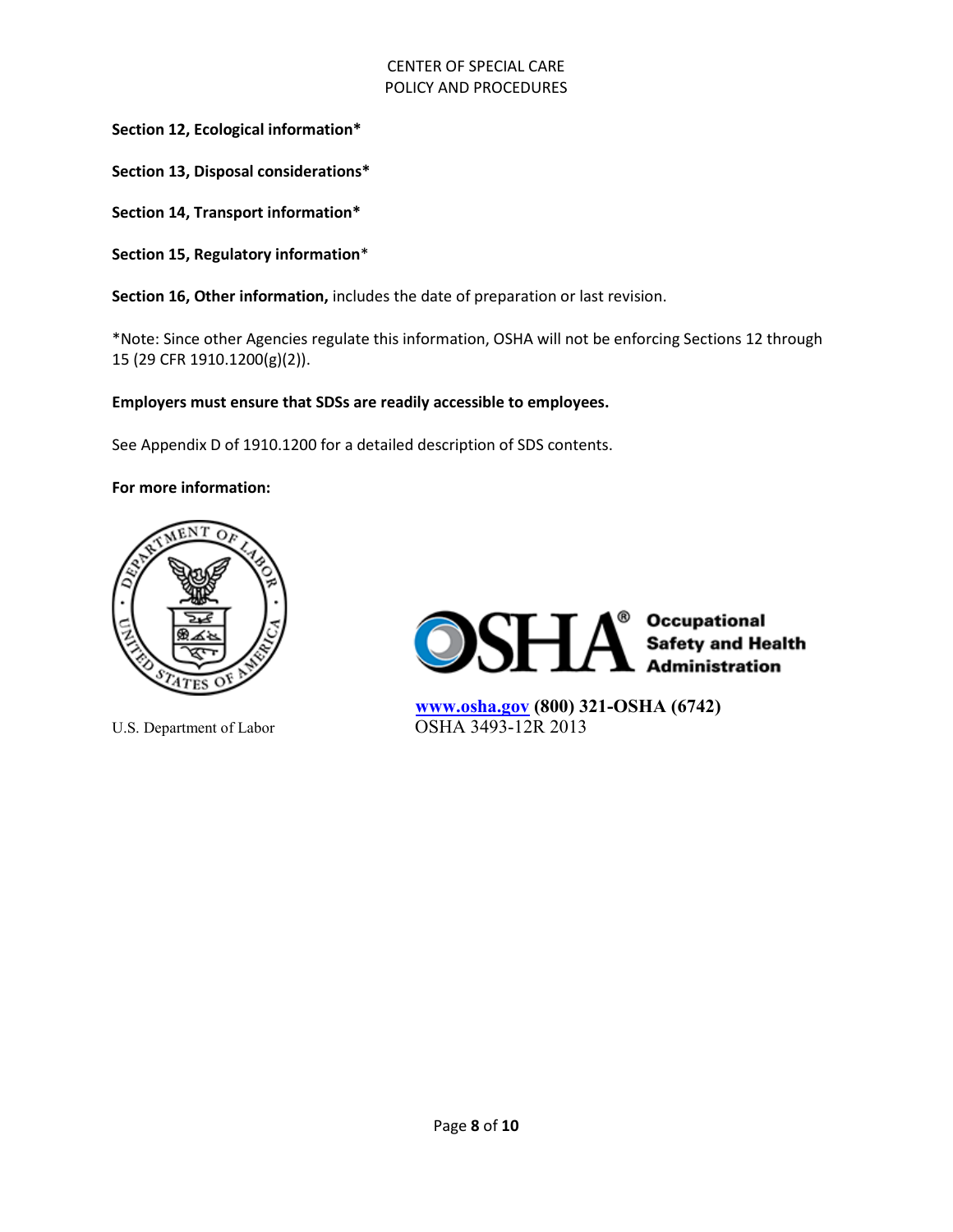**Section 12, Ecological information\***

**Section 13, Disposal considerations\***

**Section 14, Transport information\***

**Section 15, Regulatory information**\*

**Section 16, Other information,** includes the date of preparation or last revision.

\*Note: Since other Agencies regulate this information, OSHA will not be enforcing Sections 12 through 15 (29 CFR 1910.1200(g)(2)).

#### **Employers must ensure that SDSs are readily accessible to employees.**

See Appendix D of 1910.1200 for a detailed description of SDS contents.

**For more information:**





 **[www.osha.gov](https://www.osha.gov/index.html) (800) 321-OSHA (6742)**  U.S. Department of Labor **OSHA 3493-12R 2013**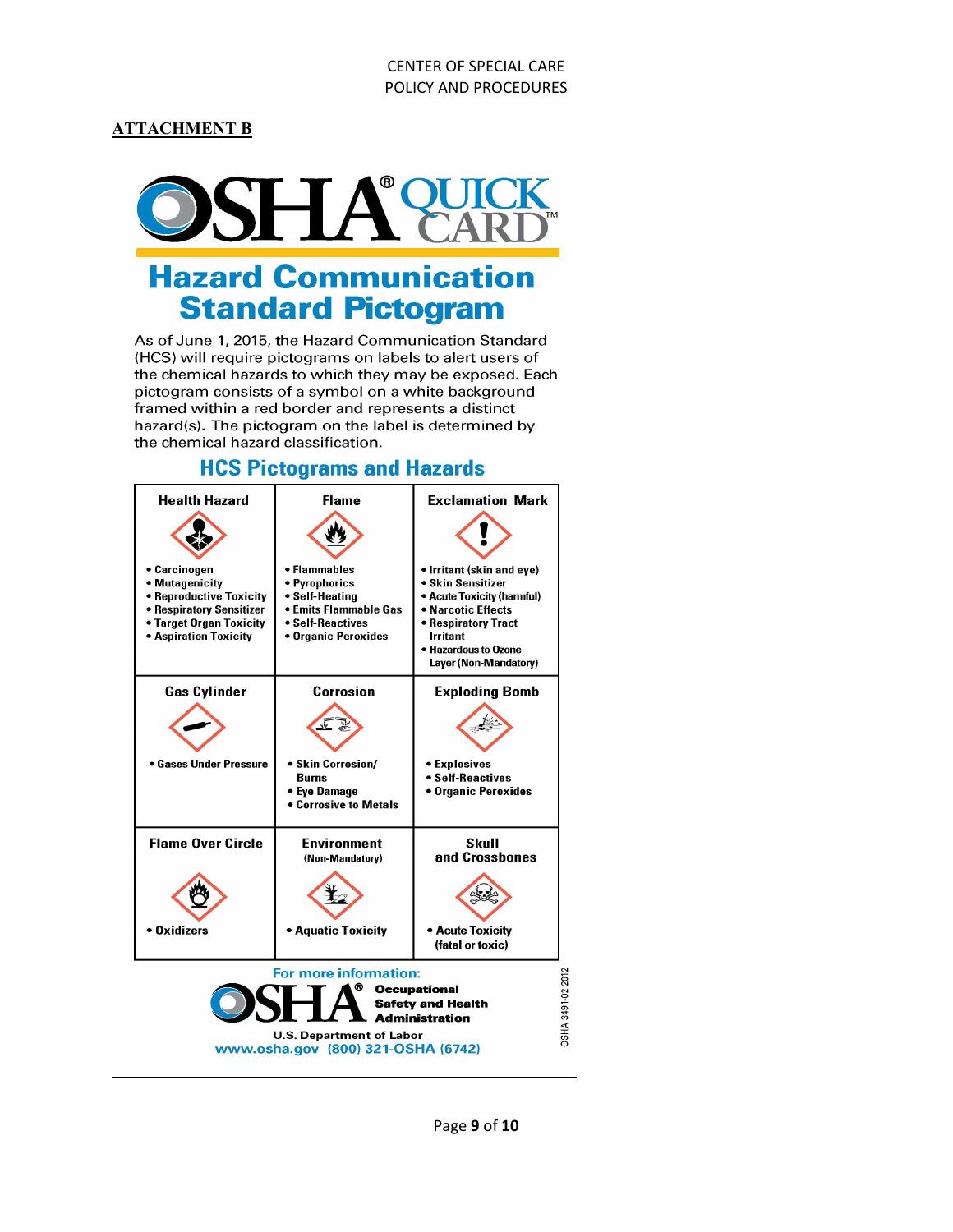#### **ATTACHMENT B**



## **Hazard Communication Standard Pictogram**

As of June 1, 2015, the Hazard Communication Standard (HCS) will require pictograms on labels to alert users of the chemical hazards to which they may be exposed. Each pictogram consists of a symbol on a white background framed within a red border and represents a distinct hazard(s). The pictogram on the label is determined by the chemical hazard classification.

#### **Exclamation Mark Health Hazard Flame** • Carcinogen • Flammables • Irritant (skin and eye) • Mutagenicity • Pyrophorics • Skin Sensitizer • Reproductive Toxicity • Acute Toxicity (harmful) • Self-Heating · Narcotic Effects • Respiratory Sensitizer • Emits Flammable Gas • Target Organ Toxicity • Self-Reactives • Respiratory Tract • Aspiration Toxicity • Organic Peroxides Irritant · Hazardous to Ozone Layer (Non-Mandatory) **Gas Cylinder** Corrosion **Exploding Bomb** • Gases Under Pressure • Skin Corrosion/ • Explosives • Self-Reactives **Burns** • Organic Peroxides • Eye Damage **• Corrosive to Metals Flame Over Circle Environment Skull** and Crossbones (Non-Mandatory) • Oxidizers • Aquatic Toxicity • Acute Toxicity (fatal or toxic) For more information: OSHA 3491-02 2012 ത **Occupational Safety and Health Administration U.S. Department of Labor** www.osha.gov (800) 321-OSHA (6742)

### **HCS Pictograms and Hazards**